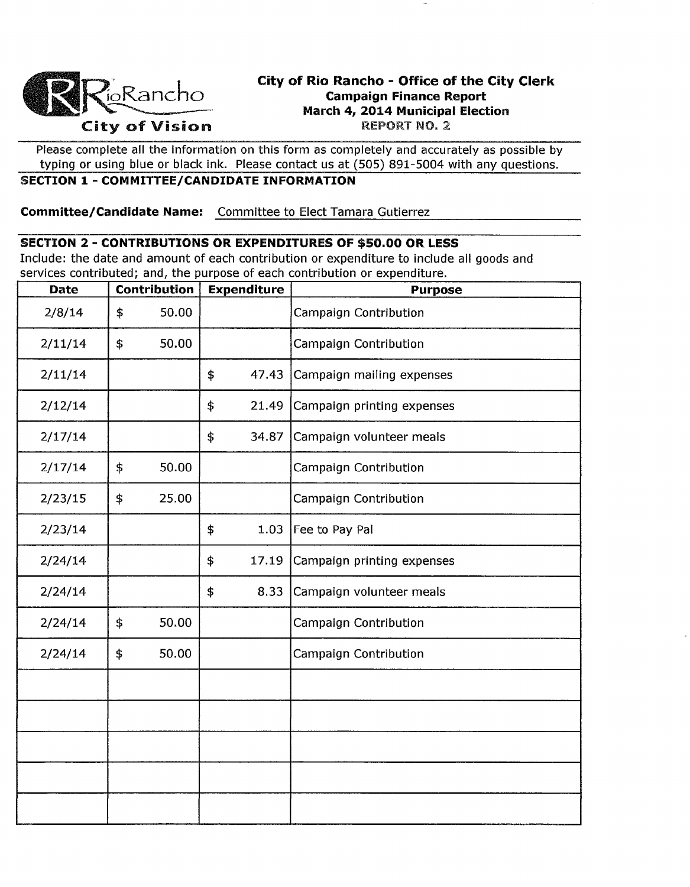

# **City of Rio Rancho - Office of the City Clerk Campaign Finance Report March 4, 2014 Municipal Election**

Please complete all the information on this form as completely and accurately as possible by typing or using blue or black ink. Please contact us at (505) 891-5004 with any questions.

## **SECTION 1 - COMMITTEE/CANDIDATE INFORMATION**

**Committee/Candidate Name:** Committee to Elect Tamara Gutierrez

#### **SECTION 2 - CONTRIBUTIONS OR EXPENDITURES OF \$50.00 OR LESS**

Include: the date and amount of each contribution or expenditure to include all goods and services contributed; and, the purpose of each contribution or expenditure.

| <b>Date</b> | - , - - - - , - - - - <del>,</del> - - , - - - - - -<br>Contribution | <b>Expenditure</b> | <b>Purpose</b>             |
|-------------|----------------------------------------------------------------------|--------------------|----------------------------|
| 2/8/14      | \$<br>50.00                                                          |                    | Campaign Contribution      |
| 2/11/14     | \$<br>50.00                                                          |                    | Campaign Contribution      |
| 2/11/14     |                                                                      | \$<br>47.43        | Campaign mailing expenses  |
| 2/12/14     |                                                                      | \$<br>21.49        | Campaign printing expenses |
| 2/17/14     |                                                                      | \$<br>34.87        | Campaign volunteer meals   |
| 2/17/14     | \$<br>50.00                                                          |                    | Campaign Contribution      |
| 2/23/15     | \$<br>25.00                                                          |                    | Campaign Contribution      |
| 2/23/14     |                                                                      | \$<br>1.03         | Fee to Pay Pal             |
| 2/24/14     |                                                                      | 17.19<br>\$        | Campaign printing expenses |
| 2/24/14     |                                                                      | 8.33<br>\$         | Campaign volunteer meals   |
| 2/24/14     | \$<br>50.00                                                          |                    | Campaign Contribution      |
| 2/24/14     | \$<br>50.00                                                          |                    | Campaign Contribution      |
|             |                                                                      |                    |                            |
|             |                                                                      |                    |                            |
|             |                                                                      |                    |                            |
|             |                                                                      |                    |                            |
|             |                                                                      |                    |                            |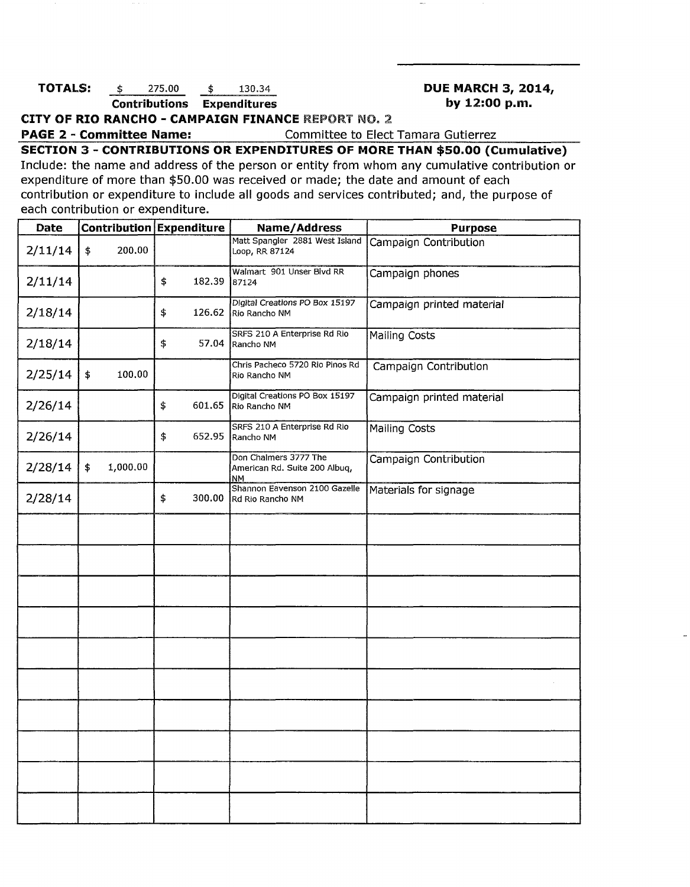#### **TOTALS:**  $\frac{$275.00}{$\text{Cortributions}} \quad \frac{$130.34}{$\text{Expenditures}}$  **DUE MARCH 3, 2014, DUE MARCH 3, 2014 Contributions Expenditures by 12:00 p.m.**

**CITY OF RIO RANCHO - CAMPAIGN FINANCE** REPORT NO. 2.

**PAGE 2 - Committee Name:** Committee to Elect Tamara Gutierrez

**SECTION 3 - CONTRIBUTIONS OR EXPENDITURES OF MORE THAN \$50.00 (Cumulative)**  Include: the name and address of the person or entity from whom any cumulative contribution or expenditure of more than \$50.00 was received or made; the date and amount of each contribution or expenditure to include all goods and services contributed; and, the purpose of each contribution or expenditure.

| Date    |                | Contribution Expenditure | Name/Address                                                        | <b>Purpose</b>            |  |  |
|---------|----------------|--------------------------|---------------------------------------------------------------------|---------------------------|--|--|
| 2/11/14 | 200.00<br>\$   |                          | Matt Spangler 2881 West Island<br>Loop, RR 87124                    | Campaign Contribution     |  |  |
| 2/11/14 |                | \$<br>182.39             | Walmart 901 Unser Blvd RR<br>87124                                  | Campaign phones           |  |  |
| 2/18/14 |                | \$<br>126.62             | Digital Creations PO Box 15197<br>Rio Rancho NM                     | Campaign printed material |  |  |
| 2/18/14 |                | \$<br>57.04              | SRFS 210 A Enterprise Rd Rio<br>Rancho NM                           | <b>Mailing Costs</b>      |  |  |
| 2/25/14 | \$<br>100,00   |                          | Chris Pacheco 5720 Rio Pinos Rd<br>Rio Rancho NM                    | Campaign Contribution     |  |  |
| 2/26/14 |                | \$<br>601.65             | Digital Creations PO Box 15197<br>Río Rancho NM                     | Campaign printed material |  |  |
| 2/26/14 |                | \$<br>652.95             | SRFS 210 A Enterprise Rd Rio<br>Rancho NM                           | <b>Mailing Costs</b>      |  |  |
| 2/28/14 | 1,000.00<br>\$ |                          | Don Chalmers 3777 The<br>American Rd. Suite 200 Albuq,<br><b>NM</b> | Campaign Contribution     |  |  |
| 2/28/14 |                | 300.00<br>\$             | Shannon Eavenson 2100 Gazelle<br>Rd Rio Rancho NM                   | Materials for signage     |  |  |
|         |                |                          |                                                                     |                           |  |  |
|         |                |                          |                                                                     |                           |  |  |
|         |                |                          |                                                                     |                           |  |  |
|         |                |                          |                                                                     |                           |  |  |
|         |                |                          |                                                                     |                           |  |  |
|         |                |                          |                                                                     |                           |  |  |
|         |                |                          |                                                                     |                           |  |  |
|         |                |                          |                                                                     |                           |  |  |
|         |                |                          |                                                                     |                           |  |  |
|         |                |                          |                                                                     |                           |  |  |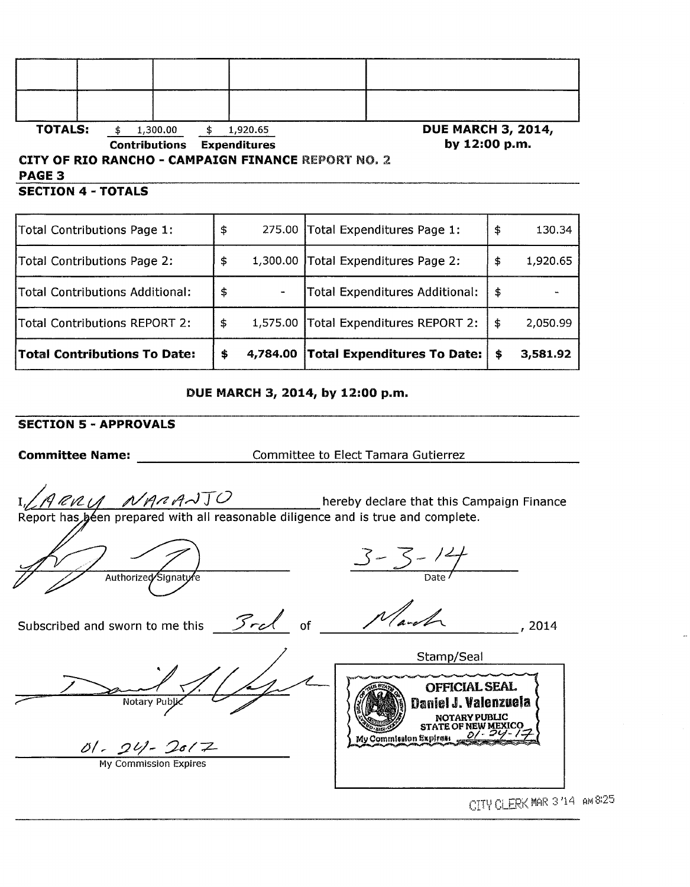| <b>TOTALS:</b>            | 1,300.00             | 1,920.65                                                                         | <b>DUE MARCH 3, 2014,</b> |
|---------------------------|----------------------|----------------------------------------------------------------------------------|---------------------------|
|                           | <b>Contributions</b> | <b>Expenditures</b><br><b>CITY OF RIO RANCHO - CAMPAIGN FINANCE REPORT NO. 2</b> | by 12:00 p.m.             |
| <b>PAGE 3</b>             |                      |                                                                                  |                           |
| <b>SECTION 4 - TOTALS</b> |                      |                                                                                  |                           |

| Total Contributions Page 1:            | \$ |          | 275.00 Total Expenditures Page 1:     | \$<br>130.34   |
|----------------------------------------|----|----------|---------------------------------------|----------------|
| Total Contributions Page 2:            | s  |          | 1,300.00 Total Expenditures Page 2:   | \$<br>1,920.65 |
| <b>Total Contributions Additional:</b> | \$ |          | Total Expenditures Additional:        | \$             |
| <b>Total Contributions REPORT 2:</b>   | \$ |          | 1,575.00 Total Expenditures REPORT 2: | \$<br>2,050.99 |
| <b>Total Contributions To Date:</b>    | \$ | 4,784.00 | <b>Total Expenditures To Date:</b>    | \$<br>3,581.92 |

DUE MARCH 3, 2014, by 12:00 p.m.

### SECTION 5 - APPROVALS

Committee Name: Committee to Elect Tamara Gutierrez

*NARANTO* hereby declare that this Campaign Finance en prepared with all reasonable diligence and is true and complete.

Authorized Signature

3 - 3 - 14<br><sub>Date</sub>

Stamp/Seal

OFFICIAL SEAL Daniel J. Valenzuela NOTARY PUBLIC<br>STATE OF NEW MEXICO

Subscribed and sworn to me this  $\frac{3\sqrt{2\pi c}}{c}$  of  $\frac{1}{\sqrt{2\pi c}}$  of  $\frac{1}{\sqrt{2\pi c}}$ , 2014

My Commission Expires:

Notary Pub

 $\frac{\partial l}{\partial y}$  Commission Expires

CITY CLERK MAR 3/14 AM 8/25

 $_{2}^{11.7}$